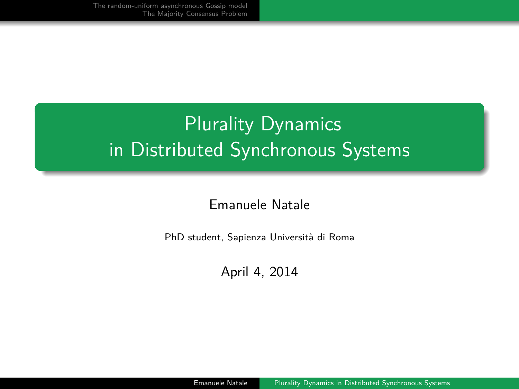# <span id="page-0-0"></span>**Plurality Dynamics** in Distributed Synchronous Systems

### Emanuele Natale

PhD student, Sapienza Universit`a di Roma

April 4, 2014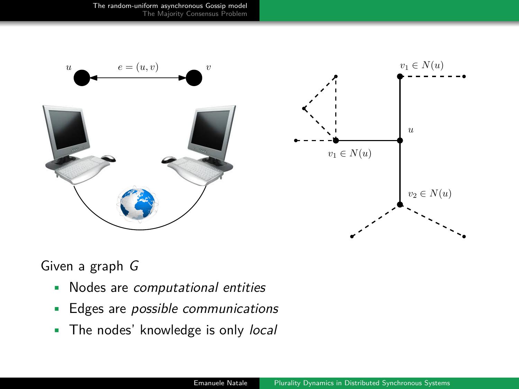[The random-uniform asynchronous Gossip model](#page-1-0) [The Majority Consensus Problem](#page-8-0)

<span id="page-1-0"></span>



Given a graph G

- Nodes are computational entities
- Edges are *possible communications*
- The nodes' knowledge is only local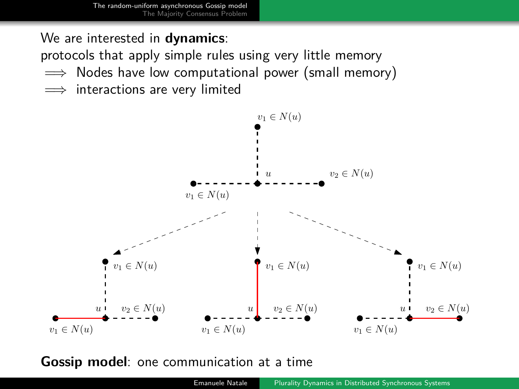We are interested in **dynamics**:

protocols that apply simple rules using very little memory

- $\implies$  Nodes have low computational power (small memory)
- $\implies$  interactions are very limited



**Gossip model**: one communication at a time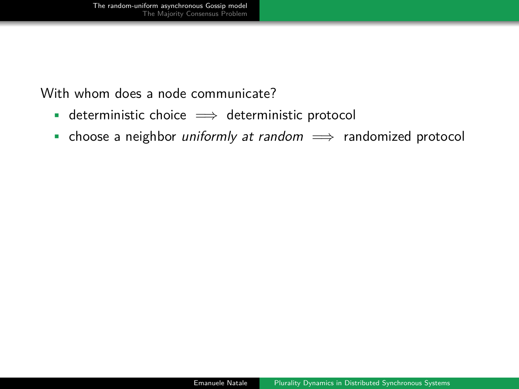With whom does a node communicate?

- deterministic choice  $\implies$  deterministic protocol
- choose a neighbor *uniformly at random*  $\implies$  randomized protocol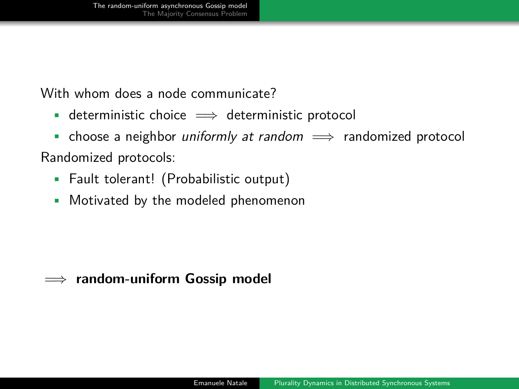With whom does a node communicate?

- deterministic choice  $\implies$  deterministic protocol
- choose a neighbor *uniformly at random*  $\implies$  randomized protocol

### Randomized protocols:

- Fault tolerant! (Probabilistic output)
- Motivated by the modeled phenomenon

### =⇒ **random-uniform Gossip model**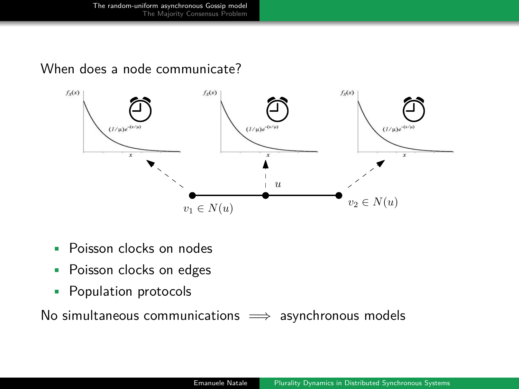### When does a node communicate?



- Poisson clocks on nodes
- Poisson clocks on edges
- Population protocols

No simultaneous communications  $\implies$  asynchronous models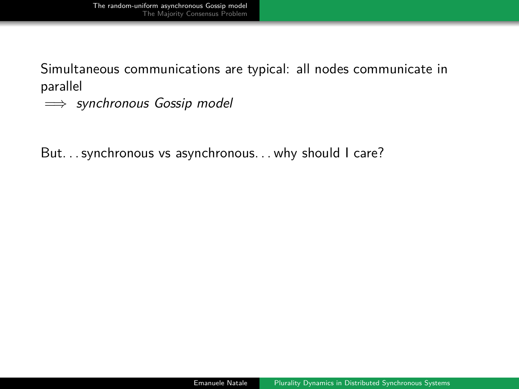Simultaneous communications are typical: all nodes communicate in parallel

 $\implies$  synchronous Gossip model

But. . . synchronous vs asynchronous. . . why should I care?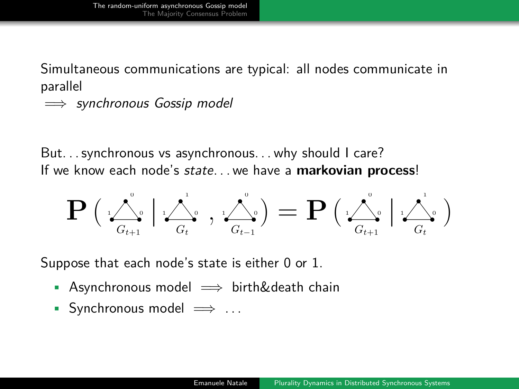Simultaneous communications are typical: all nodes communicate in parallel

 $\implies$  synchronous Gossip model

But. . . synchronous vs asynchronous. . . why should I care? If we know each node's state. . . we have a **markovian process**!

$$
\mathbf{P}\left(\sqrt{\frac{\lambda}{G_{t+1}}}\,\Big\vert\,\frac{\lambda}{G_t}\,,\,\sqrt{\frac{\lambda}{G_{t-1}}}\right)=\mathbf{P}\left(\sqrt{\frac{\lambda}{G_{t+1}}}\,\Big\vert\,\frac{\lambda}{G_t}\right)
$$

Suppose that each node's state is either 0 or 1.

- Asynchronous model  $\implies$  birth&death chain
- Synchronous model  $\implies$  ...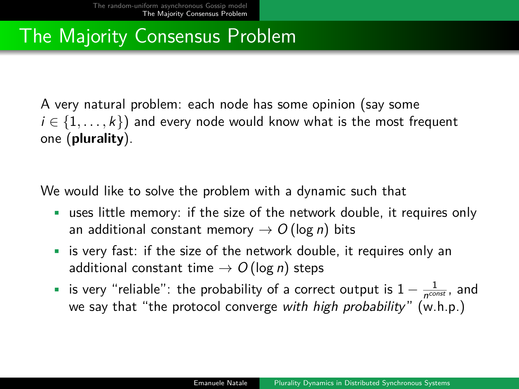# <span id="page-8-0"></span>The Majority Consensus Problem

A very natural problem: each node has some opinion (say some  $i \in \{1, \ldots, k\}$  and every node would know what is the most frequent one (**plurality**).

We would like to solve the problem with a dynamic such that

- uses little memory: if the size of the network double, it requires only an additional constant memory  $\rightarrow$  O (log n) bits
- is very fast: if the size of the network double, it requires only an additional constant time  $\rightarrow$  O (log *n*) steps
- is very "reliable": the probability of a correct output is  $1 \frac{1}{n^{\text{const}}}$ , and we say that "the protocol converge with high probability" (w.h.p.)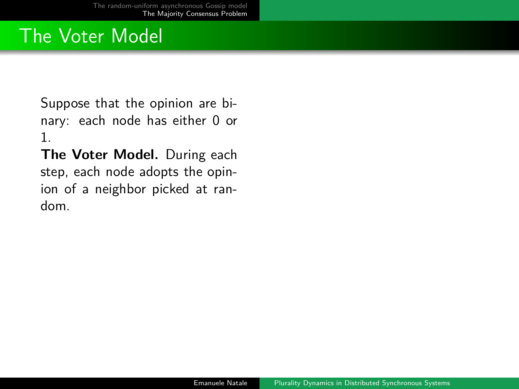### The Voter Model

Suppose that the opinion are binary: each node has either 0 or 1.

**The Voter Model.** During each step, each node adopts the opinion of a neighbor picked at random.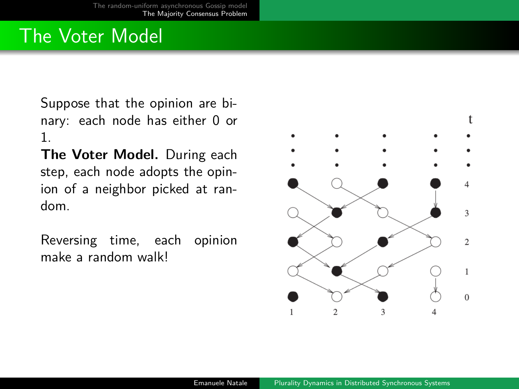## The Voter Model

Suppose that the opinion are binary: each node has either 0 or 1.

**The Voter Model.** During each step, each node adopts the opinion of a neighbor picked at random.

Reversing time, each opinion make a random walk!

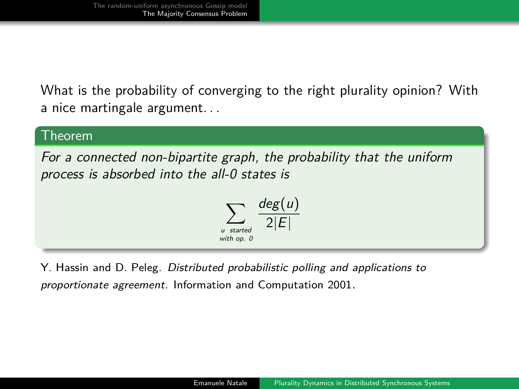What is the probability of converging to the right plurality opinion? With a nice martingale argument. . .

### Theorem

For a connected non-bipartite graph, the probability that the uniform process is absorbed into the all-0 states is

$$
\sum_{\substack{u \text{ started} \\ \text{with } op. 0}} \frac{deg(u)}{2|E|}
$$

Y. Hassin and D. Peleg. Distributed probabilistic polling and applications to proportionate agreement. Information and Computation 2001.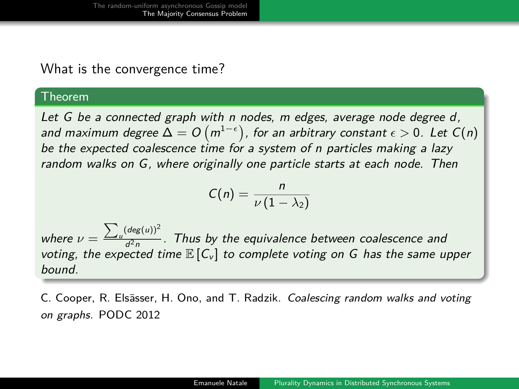#### What is the convergence time?

#### Theorem

Let G be a connected graph with n nodes, m edges, average node degree d, and maximum degree  $\Delta = O\left( m^{1-\epsilon} \right)$ , for an arbitrary constant  $\epsilon > 0.$  Let  $C(n)$ be the expected coalescence time for a system of n particles making a lazy random walks on G, where originally one particle starts at each node. Then

$$
C(n)=\frac{n}{\nu(1-\lambda_2)}
$$

where  $\nu = \frac{\sum_{u} (deg(u))^2}{d^2n}$  $\frac{d^2n}{d^2n}$ . Thus by the equivalence between coalescence and voting, the expected time  $\mathbb{E}[C_v]$  to complete voting on G has the same upper bound.

C. Cooper, R. Elsässer, H. Ono, and T. Radzik. Coalescing random walks and voting on graphs. PODC 2012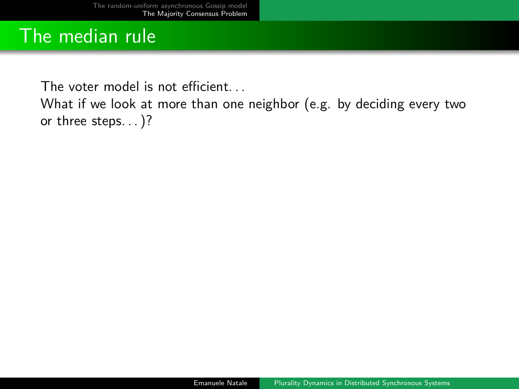### The median rule

The voter model is not efficient. . .

What if we look at more than one neighbor (e.g. by deciding every two or three steps. . . )?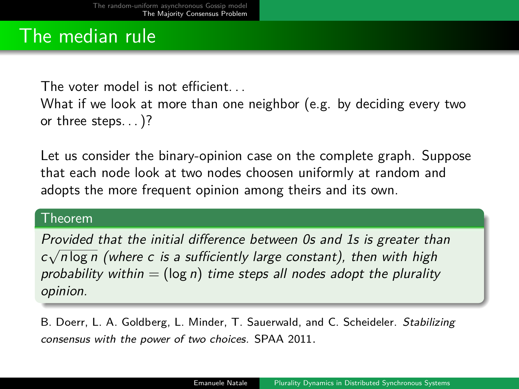### The median rule

The voter model is not efficient. . .

What if we look at more than one neighbor (e.g. by deciding every two or three steps. . . )?

Let us consider the binary-opinion case on the complete graph. Suppose that each node look at two nodes choosen uniformly at random and adopts the more frequent opinion among theirs and its own.

#### Theorem

Provided that the initial difference between 0s and 1s is greater than √  $c\sqrt{n}\log n$  (where  $c$  is a sufficiently large constant), then with high probability within  $=$  (log n) time steps all nodes adopt the plurality opinion.

B. Doerr, L. A. Goldberg, L. Minder, T. Sauerwald, and C. Scheideler. Stabilizing consensus with the power of two choices. SPAA 2011.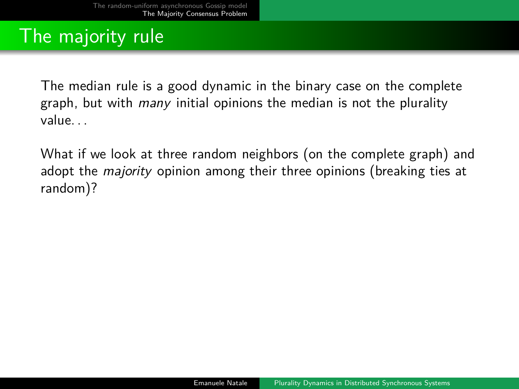## The majority rule

The median rule is a good dynamic in the binary case on the complete graph, but with *many* initial opinions the median is not the plurality value. . .

What if we look at three random neighbors (on the complete graph) and adopt the *majority* opinion among their three opinions (breaking ties at random)?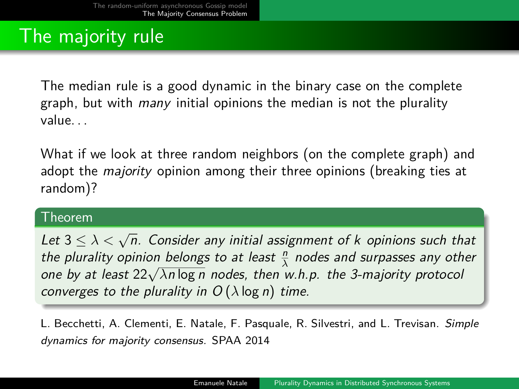## The majority rule

The median rule is a good dynamic in the binary case on the complete graph, but with *many* initial opinions the median is not the plurality value. . .

What if we look at three random neighbors (on the complete graph) and adopt the *majority* opinion among their three opinions (breaking ties at random)?

#### Theorem

Let <sup>3</sup> <sup>≤</sup> *λ <* <sup>√</sup> n. Consider any initial assignment of k opinions such that the plurality opinion belongs to at least  $\frac{n}{\lambda}$  nodes and surpasses any other *File plurality opmon belongs to at least*  $\frac{1}{\lambda}$  *nodes and surpasses any oth* one by at least 22√ $\lambda n \log n$  nodes, then w.h.p. the 3-majority protocol converges to the plurality in  $O(\lambda \log n)$  time.

L. Becchetti, A. Clementi, E. Natale, F. Pasquale, R. Silvestri, and L. Trevisan. Simple dynamics for majority consensus. SPAA 2014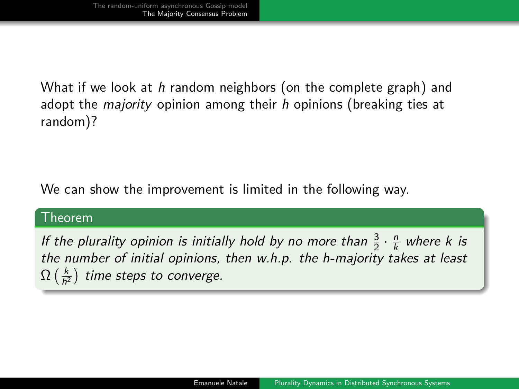What if we look at h random neighbors (on the complete graph) and adopt the *majority* opinion among their  $h$  opinions (breaking ties at random)?

We can show the improvement is limited in the following way.

#### Theorem

If the plurality opinion is initially hold by no more than  $\frac{3}{2} \cdot \frac{n}{k}$  where k is the number of initial opinions, then w.h.p. the h-majority takes at least  $\Omega\left(\frac{k}{h^2}\right)$  time steps to converge.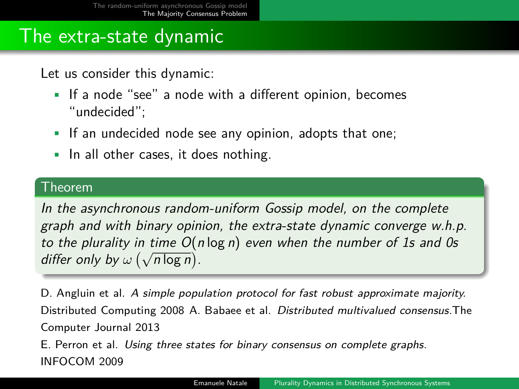### The extra-state dynamic

Let us consider this dynamic:

- If a node "see" a node with a different opinion, becomes "undecided";
- If an undecided node see any opinion, adopts that one;
- In all other cases, it does nothing.

#### Theorem

In the asynchronous random-uniform Gossip model, on the complete graph and with binary opinion, the extra-state dynamic converge w.h.p. to the plurality in time  $O(n \log n)$  even when the number of 1s and 0s *LO* the plurality in thine *O*(*i*<br>differ only by ω (√n log n).

D. Angluin et al. A simple population protocol for fast robust approximate majority. Distributed Computing 2008 A. Babaee et al. Distributed multivalued consensus.The Computer Journal 2013

E. Perron et al. Using three states for binary consensus on complete graphs. INFOCOM 2009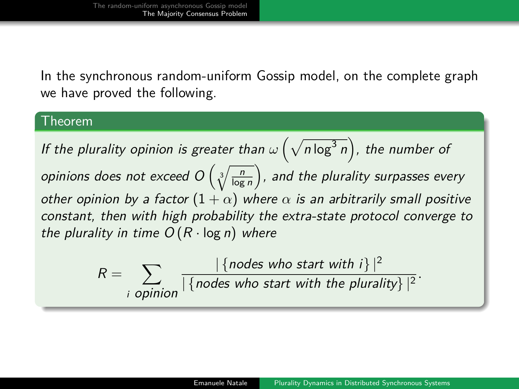In the synchronous random-uniform Gossip model, on the complete graph we have proved the following.

#### Theorem

If the plurality opinion is greater than  $\omega\left(\sqrt{n \log^3 n}\right)$ , the number of opinions does not exceed  $O\left(\sqrt[3]{\frac{n}{\log n}}\right)$ , and the plurality surpasses every other opinion by a factor  $(1 + \alpha)$  where  $\alpha$  is an arbitrarily small positive constant, then with high probability the extra-state protocol converge to the plurality in time  $O(R \cdot \log n)$  where

$$
R = \sum_{i \text{ opinion}} \frac{|\{nodes\ who\ start\ with\ i\}|^2}{|\{nodes\ who\ start\ with\ the\ plurality\}|^2}.
$$